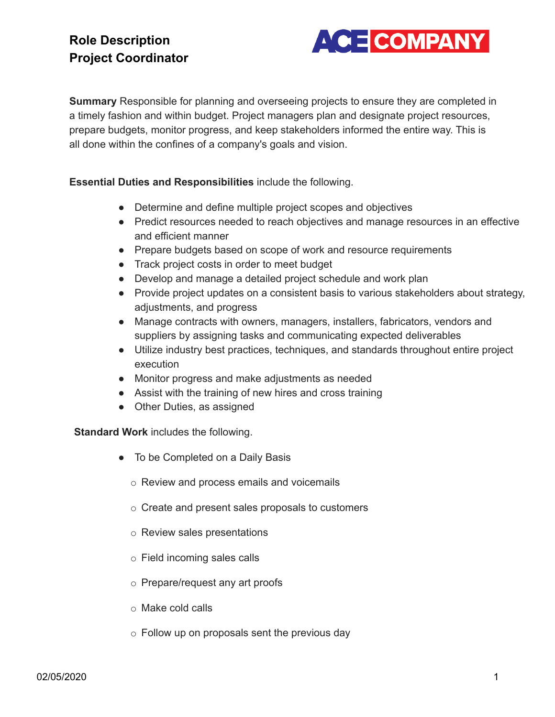

**Summary** Responsible for planning and overseeing projects to ensure they are completed in a timely fashion and within budget. Project managers plan and designate project resources, prepare budgets, monitor progress, and keep stakeholders informed the entire way. This is all done within the confines of a company's goals and vision.

**Essential Duties and Responsibilities** include the following.

- Determine and define multiple project scopes and objectives
- Predict resources needed to reach objectives and manage resources in an effective and efficient manner
- Prepare budgets based on scope of work and resource requirements
- Track project costs in order to meet budget
- Develop and manage a detailed project schedule and work plan
- Provide project updates on a consistent basis to various stakeholders about strategy, adjustments, and progress
- Manage contracts with owners, managers, installers, fabricators, vendors and suppliers by assigning tasks and communicating expected deliverables
- Utilize industry best practices, techniques, and standards throughout entire project execution
- Monitor progress and make adjustments as needed
- Assist with the training of new hires and cross training
- Other Duties, as assigned

**Standard Work** includes the following.

- To be Completed on a Daily Basis
	- o Review and process emails and voicemails
	- o Create and present sales proposals to customers
	- o Review sales presentations
	- o Field incoming sales calls
	- o Prepare/request any art proofs
	- o Make cold calls
	- $\circ$  Follow up on proposals sent the previous day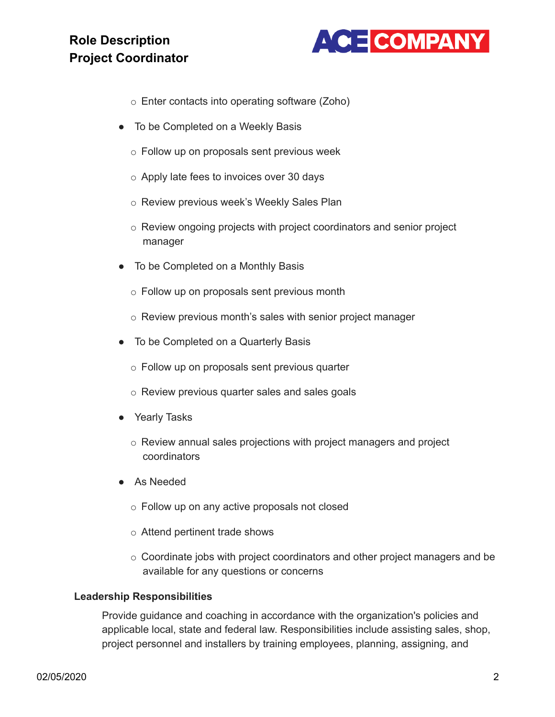

- o Enter contacts into operating software (Zoho)
- To be Completed on a Weekly Basis
	- o Follow up on proposals sent previous week
	- o Apply late fees to invoices over 30 days
	- o Review previous week's Weekly Sales Plan
	- o Review ongoing projects with project coordinators and senior project manager
- To be Completed on a Monthly Basis
	- o Follow up on proposals sent previous month
	- o Review previous month's sales with senior project manager
- To be Completed on a Quarterly Basis
	- o Follow up on proposals sent previous quarter
	- o Review previous quarter sales and sales goals
- Yearly Tasks
	- o Review annual sales projections with project managers and project coordinators
- As Needed
	- o Follow up on any active proposals not closed
	- o Attend pertinent trade shows
	- o Coordinate jobs with project coordinators and other project managers and be available for any questions or concerns

#### **Leadership Responsibilities**

Provide guidance and coaching in accordance with the organization's policies and applicable local, state and federal law. Responsibilities include assisting sales, shop, project personnel and installers by training employees, planning, assigning, and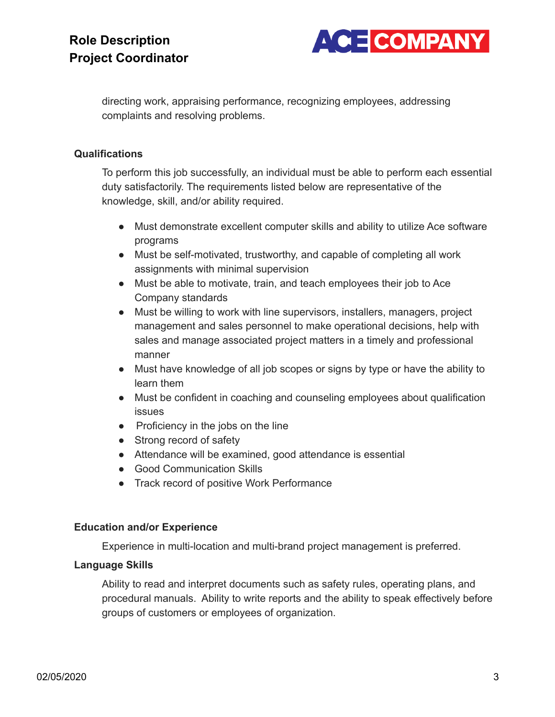

directing work, appraising performance, recognizing employees, addressing complaints and resolving problems.

#### **Qualifications**

To perform this job successfully, an individual must be able to perform each essential duty satisfactorily. The requirements listed below are representative of the knowledge, skill, and/or ability required.

- Must demonstrate excellent computer skills and ability to utilize Ace software programs
- Must be self-motivated, trustworthy, and capable of completing all work assignments with minimal supervision
- Must be able to motivate, train, and teach employees their job to Ace Company standards
- Must be willing to work with line supervisors, installers, managers, project management and sales personnel to make operational decisions, help with sales and manage associated project matters in a timely and professional manner
- Must have knowledge of all job scopes or signs by type or have the ability to learn them
- Must be confident in coaching and counseling employees about qualification issues
- Proficiency in the jobs on the line
- Strong record of safety
- Attendance will be examined, good attendance is essential
- Good Communication Skills
- Track record of positive Work Performance

### **Education and/or Experience**

Experience in multi-location and multi-brand project management is preferred.

### **Language Skills**

Ability to read and interpret documents such as safety rules, operating plans, and procedural manuals. Ability to write reports and the ability to speak effectively before groups of customers or employees of organization.